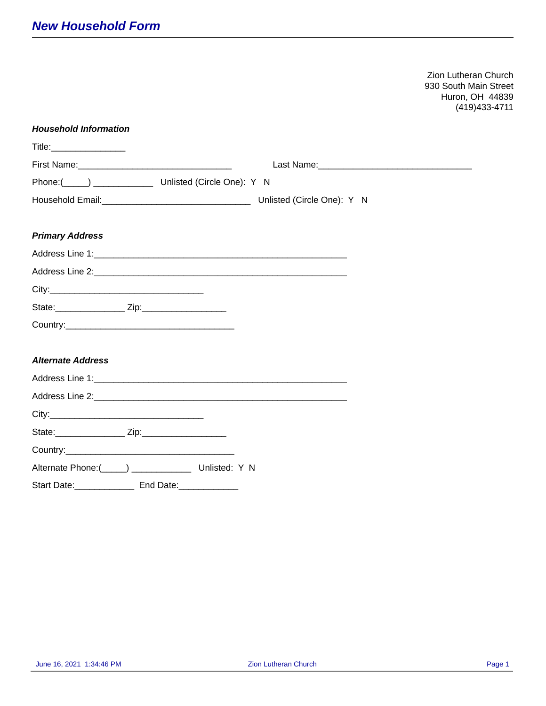Zion Lutheran Church 930 South Main Street Huron, OH 44839 (419)433-4711

| <b>Household Information</b>                                                                                                                                                                                                   |  |  |  |
|--------------------------------------------------------------------------------------------------------------------------------------------------------------------------------------------------------------------------------|--|--|--|
| Title: The Company of the Company of the Company of the Company of the Company of the Company of the Company of the Company of the Company of the Company of the Company of the Company of the Company of the Company of the C |  |  |  |
|                                                                                                                                                                                                                                |  |  |  |
| Phone:( _____) _________________ Unlisted (Circle One): Y N                                                                                                                                                                    |  |  |  |
|                                                                                                                                                                                                                                |  |  |  |
| <b>Primary Address</b>                                                                                                                                                                                                         |  |  |  |
|                                                                                                                                                                                                                                |  |  |  |
|                                                                                                                                                                                                                                |  |  |  |
|                                                                                                                                                                                                                                |  |  |  |
|                                                                                                                                                                                                                                |  |  |  |
|                                                                                                                                                                                                                                |  |  |  |
|                                                                                                                                                                                                                                |  |  |  |
| <b>Alternate Address</b>                                                                                                                                                                                                       |  |  |  |
|                                                                                                                                                                                                                                |  |  |  |
|                                                                                                                                                                                                                                |  |  |  |
|                                                                                                                                                                                                                                |  |  |  |
|                                                                                                                                                                                                                                |  |  |  |
|                                                                                                                                                                                                                                |  |  |  |
|                                                                                                                                                                                                                                |  |  |  |
| Start Date: _________________ End Date: ______________                                                                                                                                                                         |  |  |  |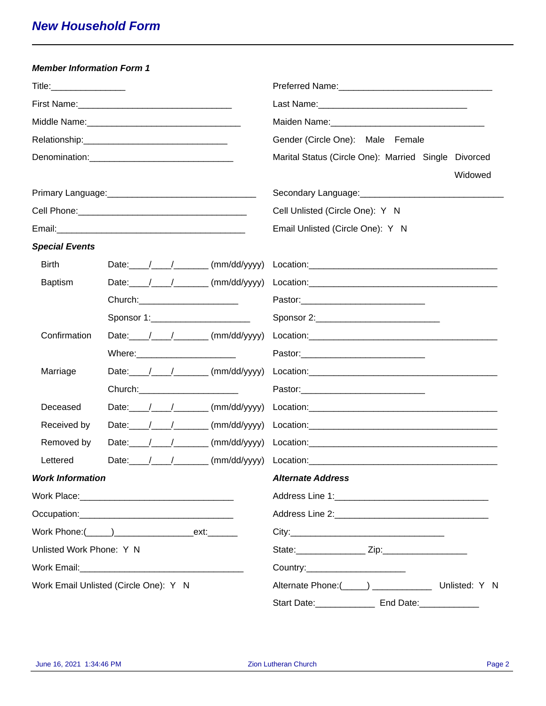| <b>Member Information Form 1</b>      |                                                                         |                                                                                                                |
|---------------------------------------|-------------------------------------------------------------------------|----------------------------------------------------------------------------------------------------------------|
| Title: _________________              |                                                                         | Preferred Name: Mannel Mannel Mannel Mannel Mannel Mannel Mannel Mannel Mannel Mannel Mannel Mannel Mannel Man |
|                                       | First Name: 1990 March 1991 March 1991 March 1992 March 1992 March 1993 |                                                                                                                |
|                                       |                                                                         |                                                                                                                |
|                                       |                                                                         | Gender (Circle One): Male Female                                                                               |
|                                       |                                                                         | Marital Status (Circle One): Married Single Divorced<br>Widowed                                                |
|                                       |                                                                         |                                                                                                                |
|                                       |                                                                         | Cell Unlisted (Circle One): Y N                                                                                |
|                                       |                                                                         | Email Unlisted (Circle One): Y N                                                                               |
| <b>Special Events</b>                 |                                                                         |                                                                                                                |
| <b>Birth</b>                          | Date: $\angle$ / $\angle$ (mm/dd/yyyy)                                  |                                                                                                                |
| <b>Baptism</b>                        | Date: $\angle$ / $\angle$ (mm/dd/yyyy)                                  |                                                                                                                |
|                                       | Church: ________________________                                        |                                                                                                                |
|                                       | Sponsor 1:_______________________                                       | Sponsor 2:_________________________________                                                                    |
| Confirmation                          | Date: $/$ / $/$ (mm/dd/yyyy)                                            |                                                                                                                |
|                                       | Where: __________________________                                       |                                                                                                                |
| Marriage                              | Date: $\angle$ / $\angle$ (mm/dd/yyyy)                                  |                                                                                                                |
|                                       | Church: ________________________                                        |                                                                                                                |
| Deceased                              | Date: $\angle$ / $\angle$ (mm/dd/yyyy)                                  |                                                                                                                |
| Received by                           | Date: $\angle$ / $\angle$ (mm/dd/yyyy)                                  |                                                                                                                |
| Removed by                            |                                                                         |                                                                                                                |
| Lettered                              |                                                                         |                                                                                                                |
| <b>Work Information</b>               |                                                                         | <b>Alternate Address</b>                                                                                       |
|                                       |                                                                         |                                                                                                                |
|                                       |                                                                         |                                                                                                                |
|                                       |                                                                         |                                                                                                                |
| Unlisted Work Phone: Y N              |                                                                         |                                                                                                                |
|                                       |                                                                         | Country:_________________________                                                                              |
| Work Email Unlisted (Circle One): Y N |                                                                         | Alternate Phone:(_____) _________________ Unlisted: Y N                                                        |
|                                       |                                                                         | Start Date: Find Date: Find Date:                                                                              |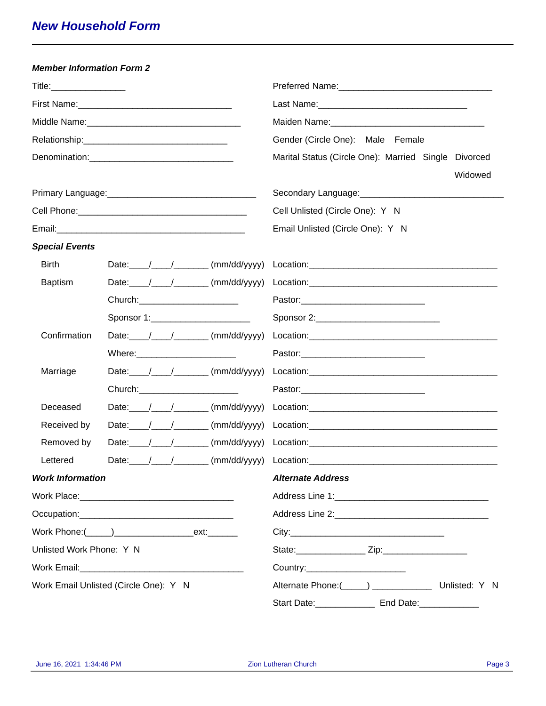| <b>Member Information Form 2</b>      |                                        |                                                                 |
|---------------------------------------|----------------------------------------|-----------------------------------------------------------------|
|                                       |                                        |                                                                 |
|                                       |                                        |                                                                 |
|                                       |                                        |                                                                 |
|                                       |                                        | Gender (Circle One): Male Female                                |
|                                       | Denomination: Denomination:            | Marital Status (Circle One): Married Single Divorced<br>Widowed |
|                                       |                                        |                                                                 |
|                                       |                                        | Cell Unlisted (Circle One): Y N                                 |
|                                       |                                        | Email Unlisted (Circle One): Y N                                |
| <b>Special Events</b>                 |                                        |                                                                 |
| <b>Birth</b>                          |                                        |                                                                 |
| <b>Baptism</b>                        |                                        |                                                                 |
|                                       | Church: ________________________       |                                                                 |
|                                       | Sponsor 1:________________________     | Sponsor 2:________________________________                      |
| Confirmation                          | Date: $/$ / $/$ (mm/dd/yyyy)           |                                                                 |
|                                       | Where:_________________________        |                                                                 |
| Marriage                              |                                        |                                                                 |
|                                       | Church: _______________________        |                                                                 |
| Deceased                              | Date: $\angle$ / $\angle$ (mm/dd/yyyy) |                                                                 |
| Received by                           |                                        |                                                                 |
| Removed by                            |                                        |                                                                 |
| Lettered                              |                                        |                                                                 |
| <b>Work Information</b>               |                                        | <b>Alternate Address</b>                                        |
|                                       |                                        |                                                                 |
|                                       |                                        |                                                                 |
|                                       |                                        |                                                                 |
| Unlisted Work Phone: Y N              |                                        |                                                                 |
|                                       |                                        | Country:__________________________                              |
| Work Email Unlisted (Circle One): Y N |                                        | Alternate Phone:(_____) _________________ Unlisted: Y N         |
|                                       |                                        | Start Date: _____________________ End Date: _________________   |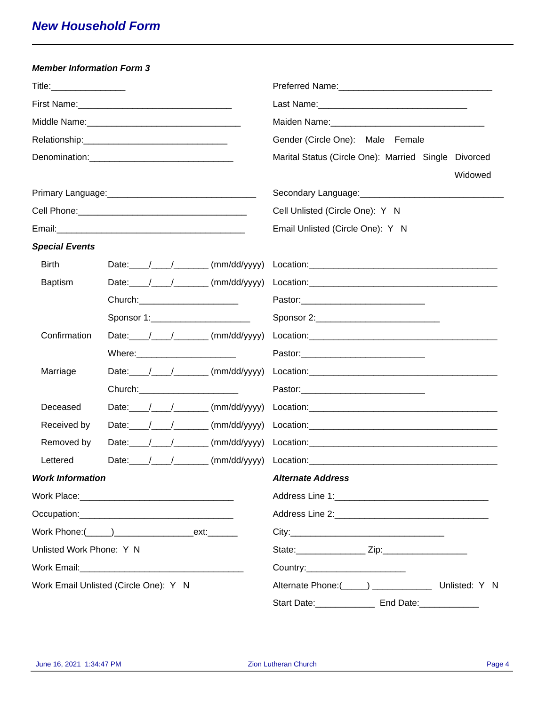| <b>Member Information Form 3</b>      |                                                                         |                                                                                                                                                                                                                                                                                                                                                                               |
|---------------------------------------|-------------------------------------------------------------------------|-------------------------------------------------------------------------------------------------------------------------------------------------------------------------------------------------------------------------------------------------------------------------------------------------------------------------------------------------------------------------------|
| Title: _________________              |                                                                         | Preferred Name: Mannel Mannel Mannel Mannel Mannel Mannel Mannel Mannel Mannel Mannel Mannel Mannel Mannel Man                                                                                                                                                                                                                                                                |
|                                       | First Name: 1990 March 1991 March 1991 March 1992 March 1992 March 1993 |                                                                                                                                                                                                                                                                                                                                                                               |
|                                       |                                                                         |                                                                                                                                                                                                                                                                                                                                                                               |
|                                       |                                                                         | Gender (Circle One): Male Female                                                                                                                                                                                                                                                                                                                                              |
|                                       |                                                                         | Marital Status (Circle One): Married Single Divorced<br>Widowed                                                                                                                                                                                                                                                                                                               |
|                                       |                                                                         |                                                                                                                                                                                                                                                                                                                                                                               |
|                                       |                                                                         | Cell Unlisted (Circle One): Y N                                                                                                                                                                                                                                                                                                                                               |
|                                       |                                                                         | Email Unlisted (Circle One): Y N                                                                                                                                                                                                                                                                                                                                              |
| <b>Special Events</b>                 |                                                                         |                                                                                                                                                                                                                                                                                                                                                                               |
| <b>Birth</b>                          | Date: $\angle$ / $\angle$ (mm/dd/yyyy)                                  |                                                                                                                                                                                                                                                                                                                                                                               |
| <b>Baptism</b>                        | Date: $\angle$ / $\angle$ (mm/dd/yyyy)                                  |                                                                                                                                                                                                                                                                                                                                                                               |
|                                       | Church: ________________________                                        |                                                                                                                                                                                                                                                                                                                                                                               |
|                                       | Sponsor 1:_______________________                                       | Sponsor 2:_________________________________                                                                                                                                                                                                                                                                                                                                   |
| Confirmation                          | Date: $/$ / $/$ (mm/dd/yyyy)                                            |                                                                                                                                                                                                                                                                                                                                                                               |
|                                       | Where: __________________________                                       |                                                                                                                                                                                                                                                                                                                                                                               |
| Marriage                              | Date: $\angle$ / $\angle$ (mm/dd/yyyy)                                  |                                                                                                                                                                                                                                                                                                                                                                               |
|                                       | Church: ________________________                                        |                                                                                                                                                                                                                                                                                                                                                                               |
| Deceased                              | Date: $\angle$ / $\angle$ (mm/dd/yyyy)                                  |                                                                                                                                                                                                                                                                                                                                                                               |
| Received by                           | Date: $\angle$ / $\angle$ (mm/dd/yyyy)                                  | $\textbf{Location:}\n \begin{picture}(150,10) \put(0,0){\vector(1,0){100}} \put(15,0){\vector(1,0){100}} \put(15,0){\vector(1,0){100}} \put(15,0){\vector(1,0){100}} \put(15,0){\vector(1,0){100}} \put(15,0){\vector(1,0){100}} \put(15,0){\vector(1,0){100}} \put(15,0){\vector(1,0){100}} \put(15,0){\vector(1,0){100}} \put(15,0){\vector(1,0){100}} \put(15,0){\vector($ |
| Removed by                            |                                                                         |                                                                                                                                                                                                                                                                                                                                                                               |
| Lettered                              |                                                                         |                                                                                                                                                                                                                                                                                                                                                                               |
| <b>Work Information</b>               |                                                                         | <b>Alternate Address</b>                                                                                                                                                                                                                                                                                                                                                      |
|                                       |                                                                         |                                                                                                                                                                                                                                                                                                                                                                               |
|                                       |                                                                         |                                                                                                                                                                                                                                                                                                                                                                               |
|                                       |                                                                         |                                                                                                                                                                                                                                                                                                                                                                               |
| Unlisted Work Phone: Y N              |                                                                         |                                                                                                                                                                                                                                                                                                                                                                               |
|                                       |                                                                         | Country:_________________________                                                                                                                                                                                                                                                                                                                                             |
| Work Email Unlisted (Circle One): Y N |                                                                         | Alternate Phone:(_____) _________________ Unlisted: Y N                                                                                                                                                                                                                                                                                                                       |
|                                       |                                                                         | Start Date: Find Date: Find Date:                                                                                                                                                                                                                                                                                                                                             |